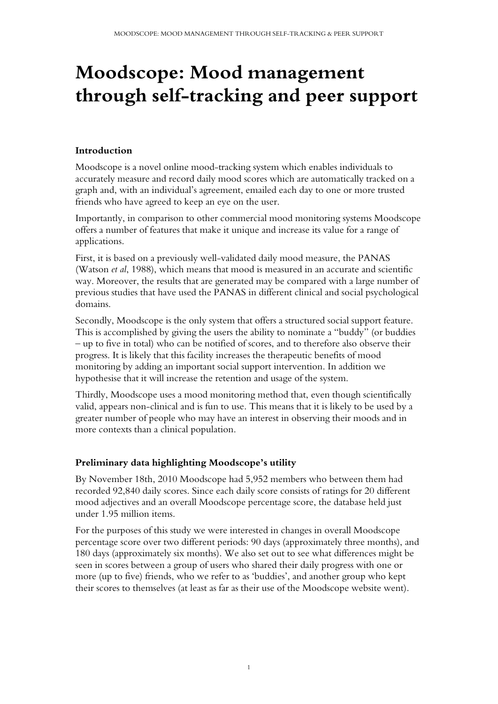# **Moodscope: Mood management through self-tracking and peer support**

## **Introduction**

Moodscope is a novel online mood-tracking system which enables individuals to accurately measure and record daily mood scores which are automatically tracked on a graph and, with an individual's agreement, emailed each day to one or more trusted friends who have agreed to keep an eye on the user.

Importantly, in comparison to other commercial mood monitoring systems Moodscope offers a number of features that make it unique and increase its value for a range of applications.

First, it is based on a previously well-validated daily mood measure, the PANAS (Watson *et al*, 1988), which means that mood is measured in an accurate and scientific way. Moreover, the results that are generated may be compared with a large number of previous studies that have used the PANAS in different clinical and social psychological domains.

Secondly, Moodscope is the only system that offers a structured social support feature. This is accomplished by giving the users the ability to nominate a "buddy" (or buddies – up to five in total) who can be notified of scores, and to therefore also observe their progress. It is likely that this facility increases the therapeutic benefits of mood monitoring by adding an important social support intervention. In addition we hypothesise that it will increase the retention and usage of the system.

Thirdly, Moodscope uses a mood monitoring method that, even though scientifically valid, appears non-clinical and is fun to use. This means that it is likely to be used by a greater number of people who may have an interest in observing their moods and in more contexts than a clinical population.

### **Preliminary data highlighting Moodscope's utility**

By November 18th, 2010 Moodscope had 5,952 members who between them had recorded 92,840 daily scores. Since each daily score consists of ratings for 20 different mood adjectives and an overall Moodscope percentage score, the database held just under 1.95 million items.

For the purposes of this study we were interested in changes in overall Moodscope percentage score over two different periods: 90 days (approximately three months), and 180 days (approximately six months). We also set out to see what differences might be seen in scores between a group of users who shared their daily progress with one or more (up to five) friends, who we refer to as 'buddies', and another group who kept their scores to themselves (at least as far as their use of the Moodscope website went).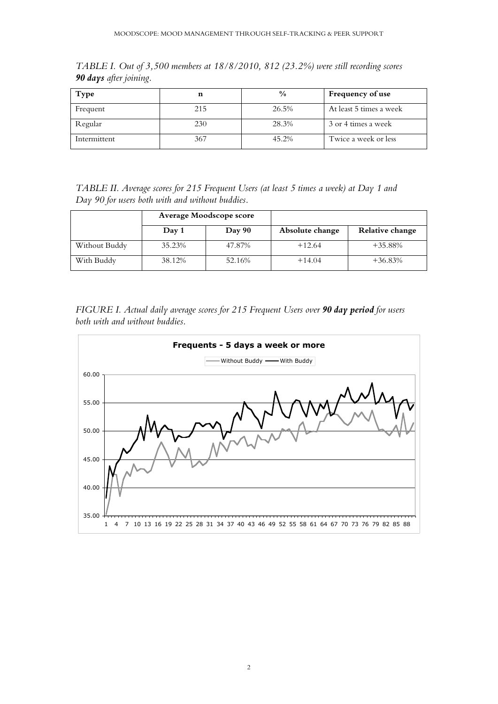*TABLE I. Out of 3,500 members at 18/8/2010, 812 (23.2%) were still recording scores 90 days after joining.*

| Type         | n   | $\frac{0}{0}$ | Frequency of use        |
|--------------|-----|---------------|-------------------------|
| Frequent     | 215 | 26.5%         | At least 5 times a week |
| Regular      | 230 | 28.3%         | 3 or 4 times a week     |
| Intermittent | 367 | 45.2%         | Twice a week or less    |

*TABLE II. Average scores for 215 Frequent Users (at least 5 times a week) at Day 1 and Day 90 for users both with and without buddies.*

|               | Average Moodscope score |        |                 |                 |
|---------------|-------------------------|--------|-----------------|-----------------|
|               | $\bf Day 1$             | Day 90 | Absolute change | Relative change |
| Without Buddy | 35.23%                  | 47.87% | $+12.64$        | $+35.88%$       |
| With Buddy    | 38.12%                  | 52.16% | $+14.04$        | $+36.83%$       |

*FIGURE I. Actual daily average scores for 215 Frequent Users over 90 day period for users both with and without buddies.*

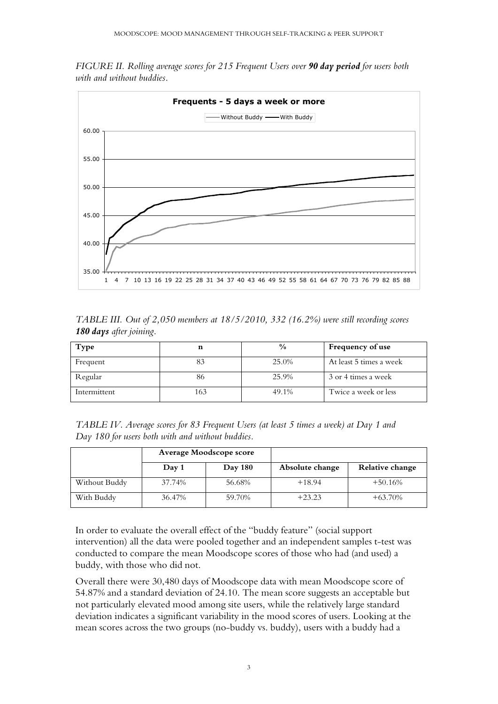*FIGURE II. Rolling average scores for 215 Frequent Users over 90 day period for users both with and without buddies.*



|                         |  | TABLE III. Out of 2,050 members at 18/5/2010, 332 (16.2%) were still recording scores |
|-------------------------|--|---------------------------------------------------------------------------------------|
| 180 days after joining. |  |                                                                                       |

| Type         | n   | $\frac{0}{0}$ | <b>Frequency of use</b> |
|--------------|-----|---------------|-------------------------|
| Frequent     |     | 25.0%         | At least 5 times a week |
| Regular      | 86  | 25.9%         | 3 or 4 times a week     |
| Intermittent | 163 | 49.1%         | Twice a week or less    |

| TABLE IV. Average scores for 83 Frequent Users (at least 5 times a week) at Day 1 and |
|---------------------------------------------------------------------------------------|
| Day 180 for users both with and without buddies.                                      |

|               | Average Moodscope score |                |                 |                 |
|---------------|-------------------------|----------------|-----------------|-----------------|
|               | Day 1                   | <b>Day 180</b> | Absolute change | Relative change |
| Without Buddy | 37.74%                  | 56.68%         | $+18.94$        | $+50.16%$       |
| With Buddy    | 36.47%                  | 59.70%         | $+23.23$        | $+63.70\%$      |

In order to evaluate the overall effect of the "buddy feature" (social support intervention) all the data were pooled together and an independent samples t-test was conducted to compare the mean Moodscope scores of those who had (and used) a buddy, with those who did not.

Overall there were 30,480 days of Moodscope data with mean Moodscope score of 54.87% and a standard deviation of 24.10. The mean score suggests an acceptable but not particularly elevated mood among site users, while the relatively large standard deviation indicates a significant variability in the mood scores of users. Looking at the mean scores across the two groups (no-buddy vs. buddy), users with a buddy had a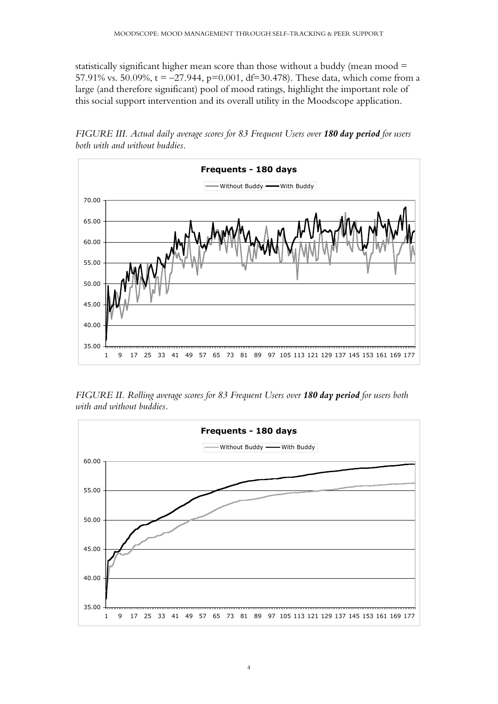statistically significant higher mean score than those without a buddy (mean mood = 57.91% vs. 50.09%,  $t = -27.944$ ,  $p=0.001$ , df=30.478). These data, which come from a large (and therefore significant) pool of mood ratings, highlight the important role of this social support intervention and its overall utility in the Moodscope application.

*FIGURE III. Actual daily average scores for 83 Frequent Users over 180 day period for users both with and without buddies.*



*FIGURE II. Rolling average scores for 83 Frequent Users over 180 day period for users both with and without buddies.*